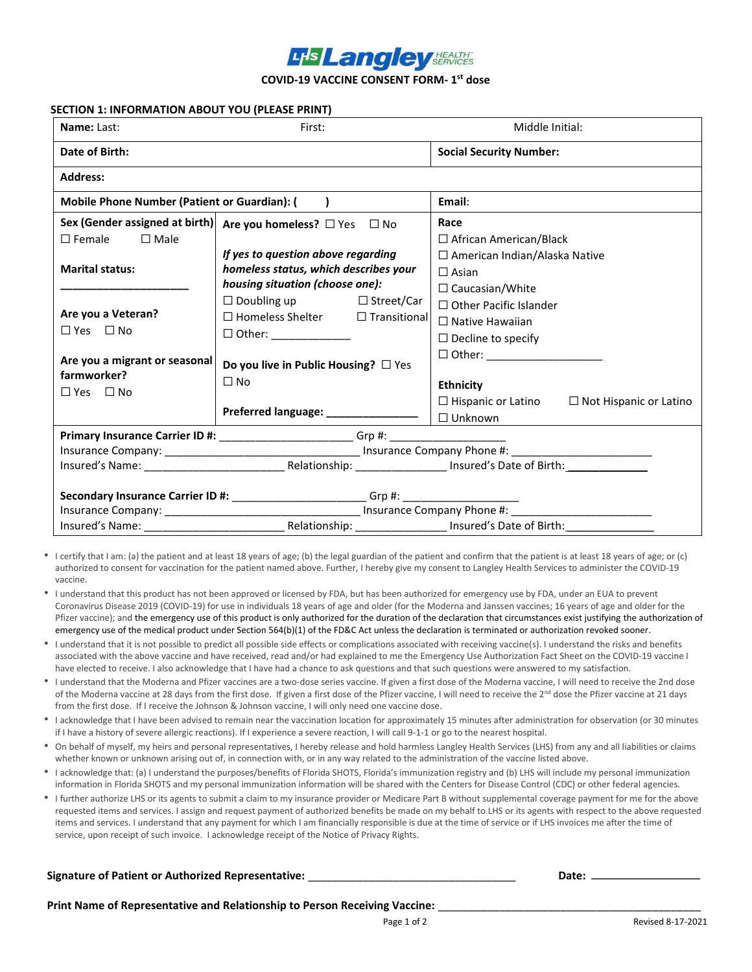# **LHS Langley SERVICES**

**COVID-19 VACCINE CONSENT FORM- 1 st dose**

## **SECTION 1: INFORMATION ABOUT YOU (PLEASE PRINT)**

| Name: Last:                                         | First:                                                                           | Middle Initial:                                         |  |  |  |  |  |  |
|-----------------------------------------------------|----------------------------------------------------------------------------------|---------------------------------------------------------|--|--|--|--|--|--|
| Date of Birth:                                      |                                                                                  | <b>Social Security Number:</b>                          |  |  |  |  |  |  |
| <b>Address:</b>                                     |                                                                                  |                                                         |  |  |  |  |  |  |
| <b>Mobile Phone Number (Patient or Guardian): (</b> | $\rightarrow$                                                                    | Email:                                                  |  |  |  |  |  |  |
|                                                     | Sex (Gender assigned at birth) Are you homeless? $\Box$ Yes $\Box$ No            | Race                                                    |  |  |  |  |  |  |
| $\Box$ Male<br>$\square$ Female                     |                                                                                  | $\Box$ African American/Black                           |  |  |  |  |  |  |
|                                                     | If yes to question above regarding                                               | □ American Indian/Alaska Native                         |  |  |  |  |  |  |
| <b>Marital status:</b>                              | homeless status, which describes your                                            | $\Box$ Asian                                            |  |  |  |  |  |  |
|                                                     | housing situation (choose one):                                                  | $\Box$ Caucasian/White                                  |  |  |  |  |  |  |
|                                                     | $\Box$ Doubling up $\Box$ Street/Car                                             | $\Box$ Other Pacific Islander                           |  |  |  |  |  |  |
| Are you a Veteran?                                  | $\Box$ Homeless Shelter $\Box$ Transitional                                      | $\Box$ Native Hawaiian                                  |  |  |  |  |  |  |
| $\Box$ Yes $\Box$ No                                | $\Box$ Other: ________________                                                   |                                                         |  |  |  |  |  |  |
|                                                     |                                                                                  | $\Box$ Decline to specify                               |  |  |  |  |  |  |
| Are you a migrant or seasonal                       | Do you live in Public Housing? □ Yes                                             | □ Other: ______________________                         |  |  |  |  |  |  |
| farmworker?                                         | $\Box$ No                                                                        |                                                         |  |  |  |  |  |  |
| $\Box$ Yes $\Box$ No                                |                                                                                  | <b>Ethnicity</b>                                        |  |  |  |  |  |  |
|                                                     | Preferred language: ________________                                             | $\Box$ Hispanic or Latino $\Box$ Not Hispanic or Latino |  |  |  |  |  |  |
|                                                     |                                                                                  | $\square$ Unknown                                       |  |  |  |  |  |  |
|                                                     | Primary Insurance Carrier ID #: ________________________Grp #: _________________ |                                                         |  |  |  |  |  |  |
|                                                     |                                                                                  |                                                         |  |  |  |  |  |  |
|                                                     |                                                                                  |                                                         |  |  |  |  |  |  |
|                                                     |                                                                                  |                                                         |  |  |  |  |  |  |
|                                                     | Secondary Insurance Carrier ID #: ________________________Grp #: _______________ |                                                         |  |  |  |  |  |  |
|                                                     |                                                                                  |                                                         |  |  |  |  |  |  |
| Insured's Name:                                     | Relationship: _________________ Insured's Date of Birth:                         |                                                         |  |  |  |  |  |  |

- I certify that I am: (a) the patient and at least 18 years of age; (b) the legal guardian of the patient and confirm that the patient is at least 18 years of age; or (c) authorized to consent for vaccination for the patient named above. Further, I hereby give my consent to Langley Health Services to administer the COVID-19 vaccine.
- I understand that this product has not been approved or licensed by FDA, but has been authorized for emergency use by FDA, under an EUA to prevent Coronavirus Disease 2019 (COVID-19) for use in individuals 18 years of age and older (for the Moderna and Janssen vaccines; 16 years of age and older for the Pfizer vaccine); and the emergency use of this product is only authorized for the duration of the declaration that circumstances exist justifying the authorization of emergency use of the medical product under Section 564(b)(1) of the FD&C Act unless the declaration is terminated or authorization revoked sooner.
- I understand that it is not possible to predict all possible side effects or complications associated with receiving vaccine(s). I understand the risks and benefits associated with the above vaccine and have received, read and/or had explained to me the Emergency Use Authorization Fact Sheet on the COVID-19 vaccine I have elected to receive. I also acknowledge that I have had a chance to ask questions and that such questions were answered to my satisfaction.
- I understand that the Moderna and Pfizer vaccines are a two-dose series vaccine. If given a first dose of the Moderna vaccine, I will need to receive the 2nd dose of the Moderna vaccine at 28 days from the first dose. If given a first dose of the Pfizer vaccine, I will need to receive the 2<sup>nd</sup> dose the Pfizer vaccine at 21 days from the first dose. If I receive the Johnson & Johnson vaccine, I will only need one vaccine dose.
- I acknowledge that I have been advised to remain near the vaccination location for approximately 15 minutes after administration for observation (or 30 minutes if I have a history of severe allergic reactions). If I experience a severe reaction, I will call 9-1-1 or go to the nearest hospital.
- On behalf of myself, my heirs and personal representatives, I hereby release and hold harmless Langley Health Services (LHS) from any and all liabilities or claims whether known or unknown arising out of, in connection with, or in any way related to the administration of the vaccine listed above.
- I acknowledge that: (a) I understand the purposes/benefits of Florida SHOTS, Florida's immunization registry and (b) LHS will include my personal immunization information in Florida SHOTS and my personal immunization information will be shared with the Centers for Disease Control (CDC) or other federal agencies.
- I further authorize LHS or its agents to submit a claim to my insurance provider or Medicare Part B without supplemental coverage payment for me for the above requested items and services. I assign and request payment of authorized benefits be made on my behalf to LHS or its agents with respect to the above requested items and services. I understand that any payment for which I am financially responsible is due at the time of service or if LHS invoices me after the time of service, upon receipt of such invoice. I acknowledge receipt of the Notice of Privacy Rights.

## **Signature of Patient or Authorized Representative:** \_\_\_\_\_\_\_\_\_\_\_\_\_\_\_\_\_\_\_\_\_\_\_\_\_\_\_\_\_\_\_\_\_\_ **Date:**

**Print Name of Representative and Relationship to Person Receiving Vaccine:** \_\_\_\_\_\_\_\_\_\_\_\_\_\_\_\_\_\_\_\_\_\_\_\_\_\_\_\_\_\_\_\_\_\_\_\_\_\_\_\_\_\_\_